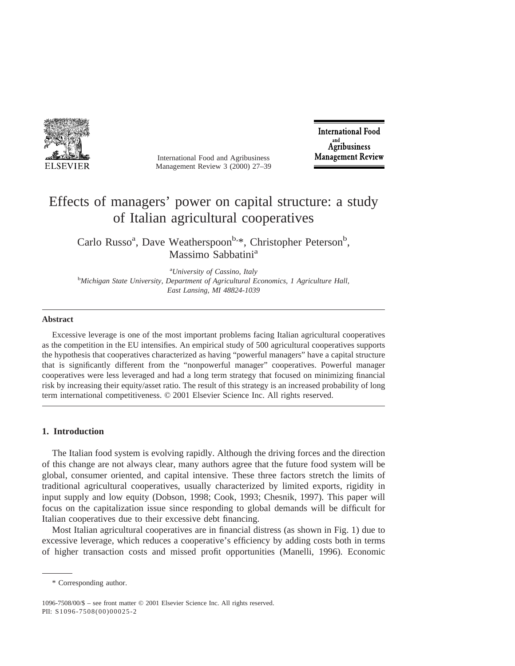

International Food and Agribusiness Management Review 3 (2000) 27–39

**International Food** Agribusiness **Management Review** 

# Effects of managers' power on capital structure: a study of Italian agricultural cooperatives

Carlo Russo<sup>a</sup>, Dave Weatherspoon<sup>b,\*</sup>, Christopher Peterson<sup>b</sup>, Massimo Sabbatini<sup>a</sup>

<sup>a</sup>University of Cassino, Italy *University of Cassino, Italy* <sup>b</sup> *Michigan State University, Department of Agricultural Economics, 1 Agriculture Hall, East Lansing, MI 48824-1039*

#### **Abstract**

Excessive leverage is one of the most important problems facing Italian agricultural cooperatives as the competition in the EU intensifies. An empirical study of 500 agricultural cooperatives supports the hypothesis that cooperatives characterized as having "powerful managers" have a capital structure that is significantly different from the "nonpowerful manager" cooperatives. Powerful manager cooperatives were less leveraged and had a long term strategy that focused on minimizing financial risk by increasing their equity/asset ratio. The result of this strategy is an increased probability of long term international competitiveness. © 2001 Elsevier Science Inc. All rights reserved.

# **1. Introduction**

The Italian food system is evolving rapidly. Although the driving forces and the direction of this change are not always clear, many authors agree that the future food system will be global, consumer oriented, and capital intensive. These three factors stretch the limits of traditional agricultural cooperatives, usually characterized by limited exports, rigidity in input supply and low equity (Dobson, 1998; Cook, 1993; Chesnik, 1997). This paper will focus on the capitalization issue since responding to global demands will be difficult for Italian cooperatives due to their excessive debt financing.

Most Italian agricultural cooperatives are in financial distress (as shown in Fig. 1) due to excessive leverage, which reduces a cooperative's efficiency by adding costs both in terms of higher transaction costs and missed profit opportunities (Manelli, 1996). Economic

<sup>\*</sup> Corresponding author.

<sup>1096-7508/00/\$ –</sup> see front matter © 2001 Elsevier Science Inc. All rights reserved. PII: S1096-7508(00)00025-2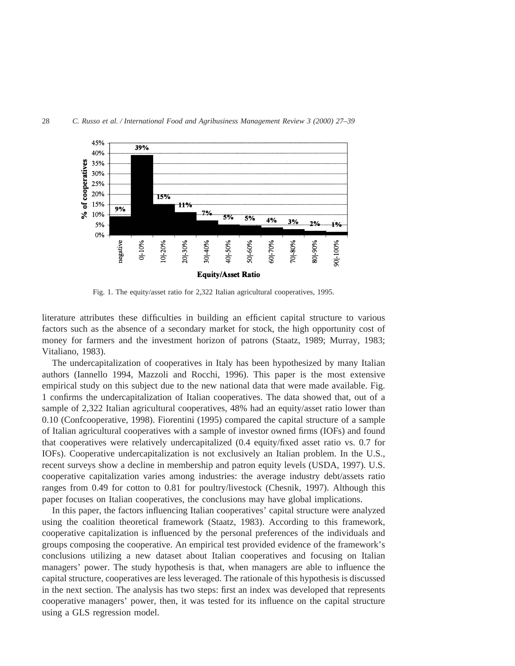

Fig. 1. The equity/asset ratio for 2,322 Italian agricultural cooperatives, 1995.

literature attributes these difficulties in building an efficient capital structure to various factors such as the absence of a secondary market for stock, the high opportunity cost of money for farmers and the investment horizon of patrons (Staatz, 1989; Murray, 1983; Vitaliano, 1983).

The undercapitalization of cooperatives in Italy has been hypothesized by many Italian authors (Iannello 1994, Mazzoli and Rocchi, 1996). This paper is the most extensive empirical study on this subject due to the new national data that were made available. Fig. 1 confirms the undercapitalization of Italian cooperatives. The data showed that, out of a sample of 2,322 Italian agricultural cooperatives, 48% had an equity/asset ratio lower than 0.10 (Confcooperative, 1998). Fiorentini (1995) compared the capital structure of a sample of Italian agricultural cooperatives with a sample of investor owned firms (IOFs) and found that cooperatives were relatively undercapitalized (0.4 equity/fixed asset ratio vs. 0.7 for IOFs). Cooperative undercapitalization is not exclusively an Italian problem. In the U.S., recent surveys show a decline in membership and patron equity levels (USDA, 1997). U.S. cooperative capitalization varies among industries: the average industry debt/assets ratio ranges from 0.49 for cotton to 0.81 for poultry/livestock (Chesnik, 1997). Although this paper focuses on Italian cooperatives, the conclusions may have global implications.

In this paper, the factors influencing Italian cooperatives' capital structure were analyzed using the coalition theoretical framework (Staatz, 1983). According to this framework, cooperative capitalization is influenced by the personal preferences of the individuals and groups composing the cooperative. An empirical test provided evidence of the framework's conclusions utilizing a new dataset about Italian cooperatives and focusing on Italian managers' power. The study hypothesis is that, when managers are able to influence the capital structure, cooperatives are less leveraged. The rationale of this hypothesis is discussed in the next section. The analysis has two steps: first an index was developed that represents cooperative managers' power, then, it was tested for its influence on the capital structure using a GLS regression model.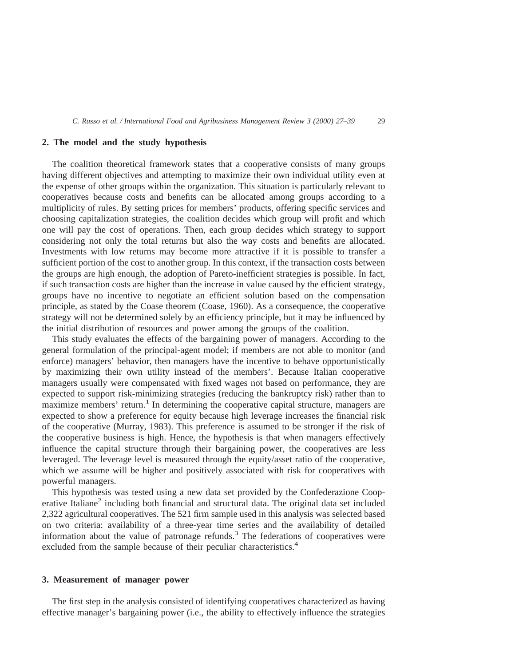### **2. The model and the study hypothesis**

The coalition theoretical framework states that a cooperative consists of many groups having different objectives and attempting to maximize their own individual utility even at the expense of other groups within the organization. This situation is particularly relevant to cooperatives because costs and benefits can be allocated among groups according to a multiplicity of rules. By setting prices for members' products, offering specific services and choosing capitalization strategies, the coalition decides which group will profit and which one will pay the cost of operations. Then, each group decides which strategy to support considering not only the total returns but also the way costs and benefits are allocated. Investments with low returns may become more attractive if it is possible to transfer a sufficient portion of the cost to another group. In this context, if the transaction costs between the groups are high enough, the adoption of Pareto-inefficient strategies is possible. In fact, if such transaction costs are higher than the increase in value caused by the efficient strategy, groups have no incentive to negotiate an efficient solution based on the compensation principle, as stated by the Coase theorem (Coase, 1960). As a consequence, the cooperative strategy will not be determined solely by an efficiency principle, but it may be influenced by the initial distribution of resources and power among the groups of the coalition.

This study evaluates the effects of the bargaining power of managers. According to the general formulation of the principal-agent model; if members are not able to monitor (and enforce) managers' behavior, then managers have the incentive to behave opportunistically by maximizing their own utility instead of the members'. Because Italian cooperative managers usually were compensated with fixed wages not based on performance, they are expected to support risk-minimizing strategies (reducing the bankruptcy risk) rather than to maximize members' return.<sup>1</sup> In determining the cooperative capital structure, managers are expected to show a preference for equity because high leverage increases the financial risk of the cooperative (Murray, 1983). This preference is assumed to be stronger if the risk of the cooperative business is high. Hence, the hypothesis is that when managers effectively influence the capital structure through their bargaining power, the cooperatives are less leveraged. The leverage level is measured through the equity/asset ratio of the cooperative, which we assume will be higher and positively associated with risk for cooperatives with powerful managers.

This hypothesis was tested using a new data set provided by the Confederazione Cooperative Italiane<sup>2</sup> including both financial and structural data. The original data set included 2,322 agricultural cooperatives. The 521 firm sample used in this analysis was selected based on two criteria: availability of a three-year time series and the availability of detailed information about the value of patronage refunds.<sup>3</sup> The federations of cooperatives were excluded from the sample because of their peculiar characteristics.<sup>4</sup>

# **3. Measurement of manager power**

The first step in the analysis consisted of identifying cooperatives characterized as having effective manager's bargaining power (i.e., the ability to effectively influence the strategies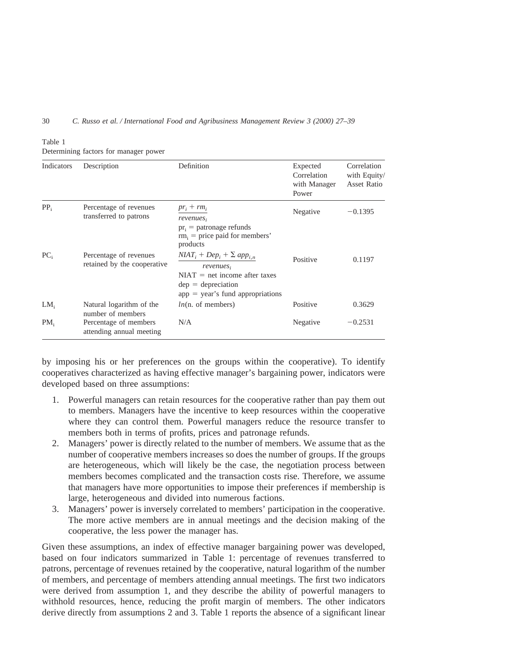30 *C. Russo et al. / International Food and Agribusiness Management Review 3 (2000) 27–39*

|--|

| Indicators      | Description                                           | Definition                                                                                    | Expected<br>Correlation<br>with Manager<br>Power | Correlation<br>with Equity/<br><b>Asset Ratio</b> |
|-----------------|-------------------------------------------------------|-----------------------------------------------------------------------------------------------|--------------------------------------------------|---------------------------------------------------|
| $PP_i$          | Percentage of revenues<br>transferred to patrons      | $pr_i + rm_i$<br>revenues,                                                                    | Negative                                         | $-0.1395$                                         |
|                 |                                                       | $pr_i$ = patronage refunds<br>$rm_i$ = price paid for members'<br>products                    |                                                  |                                                   |
| PC <sub>i</sub> | Percentage of revenues<br>retained by the cooperative | $N IAT_i + Dep_i + \sum app_{i,n}$<br>revenues,                                               | Positive                                         | 0.1197                                            |
|                 |                                                       | $NIAT = net$ income after taxes<br>$dep = depreciation$<br>$app = year's$ fund appropriations |                                                  |                                                   |
| LM <sub>i</sub> | Natural logarithm of the<br>number of members         | $ln(n.$ of members)                                                                           | Positive                                         | 0.3629                                            |
| PM <sub>i</sub> | Percentage of members<br>attending annual meeting     | N/A                                                                                           | Negative                                         | $-0.2531$                                         |

Determining factors for manager power

by imposing his or her preferences on the groups within the cooperative). To identify cooperatives characterized as having effective manager's bargaining power, indicators were developed based on three assumptions:

- 1. Powerful managers can retain resources for the cooperative rather than pay them out to members. Managers have the incentive to keep resources within the cooperative where they can control them. Powerful managers reduce the resource transfer to members both in terms of profits, prices and patronage refunds.
- 2. Managers' power is directly related to the number of members. We assume that as the number of cooperative members increases so does the number of groups. If the groups are heterogeneous, which will likely be the case, the negotiation process between members becomes complicated and the transaction costs rise. Therefore, we assume that managers have more opportunities to impose their preferences if membership is large, heterogeneous and divided into numerous factions.
- 3. Managers' power is inversely correlated to members' participation in the cooperative. The more active members are in annual meetings and the decision making of the cooperative, the less power the manager has.

Given these assumptions, an index of effective manager bargaining power was developed, based on four indicators summarized in Table 1: percentage of revenues transferred to patrons, percentage of revenues retained by the cooperative, natural logarithm of the number of members, and percentage of members attending annual meetings. The first two indicators were derived from assumption 1, and they describe the ability of powerful managers to withhold resources, hence, reducing the profit margin of members. The other indicators derive directly from assumptions 2 and 3. Table 1 reports the absence of a significant linear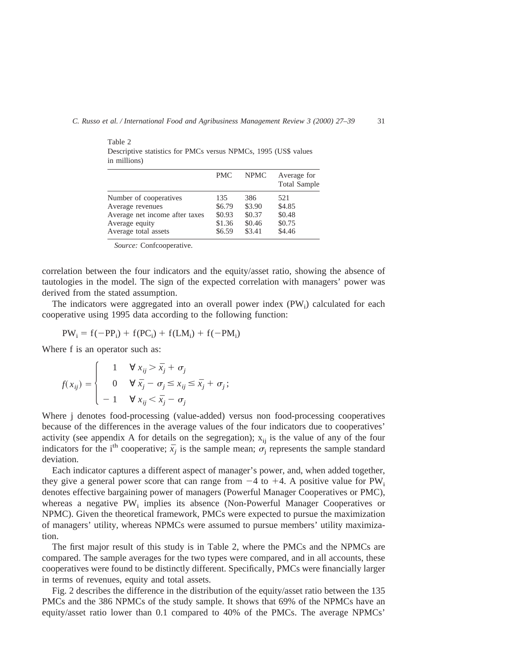|                                        | <b>PMC</b>       | <b>NPMC</b>      | Average for<br><b>Total Sample</b> |
|----------------------------------------|------------------|------------------|------------------------------------|
| Number of cooperatives                 | 135              | 386              | 521                                |
| Average revenues                       | \$6.79           | \$3.90           | \$4.85                             |
| Average net income after taxes         | \$0.93           | \$0.37           | \$0.48                             |
| Average equity<br>Average total assets | \$1.36<br>\$6.59 | \$0.46<br>\$3.41 | \$0.75<br>\$4.46                   |

Table 2 Descriptive statistics for PMCs versus NPMCs, 1995 (US\$ values in millions)

*Source:* Confcooperative.

correlation between the four indicators and the equity/asset ratio, showing the absence of tautologies in the model. The sign of the expected correlation with managers' power was derived from the stated assumption.

The indicators were aggregated into an overall power index  $(PW_i)$  calculated for each cooperative using 1995 data according to the following function:

$$
PW_i = f(-PP_i) + f(PC_i) + f(LM_i) + f(-PM_i)
$$

Where f is an operator such as:

$$
f(x_{ij}) = \begin{cases} 1 & \forall x_{ij} > \bar{x}_j + \sigma_j \\ 0 & \forall \bar{x}_j - \sigma_j \le x_{ij} \le \bar{x}_j + \sigma_j; \\ -1 & \forall x_{ij} < \bar{x}_j - \sigma_j \end{cases}
$$

Where j denotes food-processing (value-added) versus non food-processing cooperatives because of the differences in the average values of the four indicators due to cooperatives' activity (see appendix A for details on the segregation);  $x_{ii}$  is the value of any of the four indicators for the i<sup>th</sup> cooperative;  $\bar{x}_i$  is the sample mean;  $\sigma_i$  represents the sample standard deviation.

Each indicator captures a different aspect of manager's power, and, when added together, they give a general power score that can range from  $-4$  to  $+4$ . A positive value for PW<sub>i</sub> denotes effective bargaining power of managers (Powerful Manager Cooperatives or PMC), whereas a negative  $PW_i$  implies its absence (Non-Powerful Manager Cooperatives or NPMC). Given the theoretical framework, PMCs were expected to pursue the maximization of managers' utility, whereas NPMCs were assumed to pursue members' utility maximization.

The first major result of this study is in Table 2, where the PMCs and the NPMCs are compared. The sample averages for the two types were compared, and in all accounts, these cooperatives were found to be distinctly different. Specifically, PMCs were financially larger in terms of revenues, equity and total assets.

Fig. 2 describes the difference in the distribution of the equity/asset ratio between the 135 PMCs and the 386 NPMCs of the study sample. It shows that 69% of the NPMCs have an equity/asset ratio lower than 0.1 compared to 40% of the PMCs. The average NPMCs'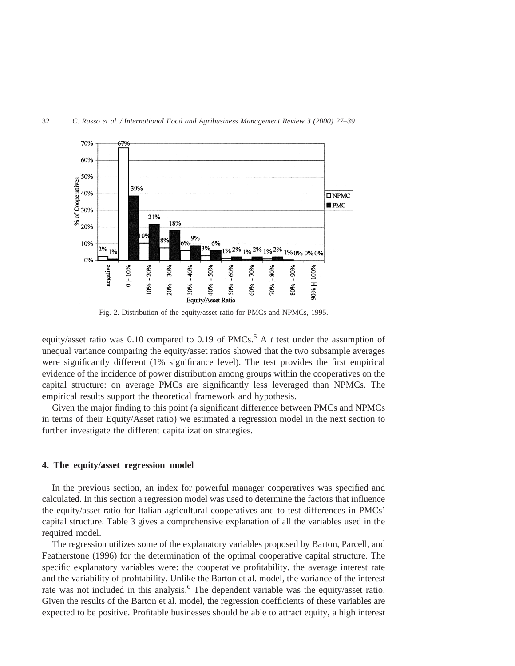

Fig. 2. Distribution of the equity/asset ratio for PMCs and NPMCs, 1995.

equity/asset ratio was 0.10 compared to 0.19 of PMCs.<sup>5</sup> A  $t$  test under the assumption of unequal variance comparing the equity/asset ratios showed that the two subsample averages were significantly different (1% significance level). The test provides the first empirical evidence of the incidence of power distribution among groups within the cooperatives on the capital structure: on average PMCs are significantly less leveraged than NPMCs. The empirical results support the theoretical framework and hypothesis.

Given the major finding to this point (a significant difference between PMCs and NPMCs in terms of their Equity/Asset ratio) we estimated a regression model in the next section to further investigate the different capitalization strategies.

#### **4. The equity/asset regression model**

In the previous section, an index for powerful manager cooperatives was specified and calculated. In this section a regression model was used to determine the factors that influence the equity/asset ratio for Italian agricultural cooperatives and to test differences in PMCs' capital structure. Table 3 gives a comprehensive explanation of all the variables used in the required model.

The regression utilizes some of the explanatory variables proposed by Barton, Parcell, and Featherstone (1996) for the determination of the optimal cooperative capital structure. The specific explanatory variables were: the cooperative profitability, the average interest rate and the variability of profitability. Unlike the Barton et al. model, the variance of the interest rate was not included in this analysis.<sup>6</sup> The dependent variable was the equity/asset ratio. Given the results of the Barton et al. model, the regression coefficients of these variables are expected to be positive. Profitable businesses should be able to attract equity, a high interest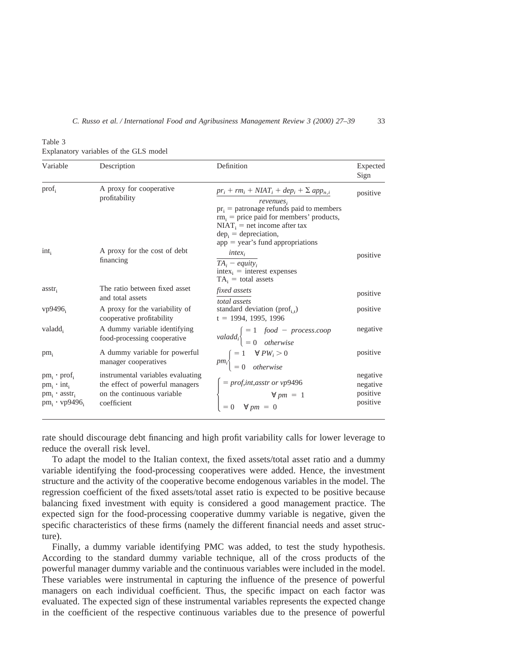Table 3

Explanatory variables of the GLS model

| Variable                                                                                                 | Description                                                                                                       | Definition                                                                                                                                                                                                                                                   | Expected<br>Sign                             |
|----------------------------------------------------------------------------------------------------------|-------------------------------------------------------------------------------------------------------------------|--------------------------------------------------------------------------------------------------------------------------------------------------------------------------------------------------------------------------------------------------------------|----------------------------------------------|
| prof <sub>i</sub>                                                                                        | A proxy for cooperative<br>profitability                                                                          | $pr_i + rm_i + N IAT_i + dep_i + \sum app_{n,i}$<br>revenues,<br>$pr_i$ = patronage refunds paid to members<br>$rm_i$ = price paid for members' products,<br>$NIAT_i$ = net income after tax<br>$depi = depreciation,$<br>$app = year's$ fund appropriations | positive                                     |
| $int_i$                                                                                                  | A proxy for the cost of debt<br>financing                                                                         | $intex_i$<br>$TA_i - equity_i$<br>$\text{intex}_i = \text{interest expenses}$<br>$TA_i = total$ assets                                                                                                                                                       | positive                                     |
| $\text{asstr}_{i}$                                                                                       | The ratio between fixed asset<br>and total assets                                                                 | <i>fixed assets</i><br>total assets                                                                                                                                                                                                                          | positive                                     |
| vp9496                                                                                                   | A proxy for the variability of<br>cooperative profitability                                                       | standard deviation (prof <sub>it</sub> )<br>$t = 1994, 1995, 1996$                                                                                                                                                                                           | positive                                     |
| valadd,                                                                                                  | A dummy variable identifying<br>food-processing cooperative                                                       | valadd <sub>i</sub> $\begin{cases} = 1 & \text{food} - process.coop \\ = 0 & \text{otherwise} \end{cases}$                                                                                                                                                   | negative                                     |
| $pm_i$                                                                                                   | A dummy variable for powerful<br>manager cooperatives                                                             | $pm_i$ = 1 $\forall PW_i > 0$<br>= 0 otherwise                                                                                                                                                                                                               | positive                                     |
| $pm_i \cdot \text{prof}_i$<br>$pm_i \cdot int_i$<br>$pm_i \cdot \text{asstr}_i$<br>$pm_i \cdot vp9496_i$ | instrumental variables evaluating<br>the effect of powerful managers<br>on the continuous variable<br>coefficient | $\begin{cases}\n= \text{prof, int,asstr or vp9496} \\ \forall \text{ pm } = 1 \\ = 0 \quad \forall \text{ pm } = 0\n\end{cases}$                                                                                                                             | negative<br>negative<br>positive<br>positive |

rate should discourage debt financing and high profit variability calls for lower leverage to reduce the overall risk level.

To adapt the model to the Italian context, the fixed assets/total asset ratio and a dummy variable identifying the food-processing cooperatives were added. Hence, the investment structure and the activity of the cooperative become endogenous variables in the model. The regression coefficient of the fixed assets/total asset ratio is expected to be positive because balancing fixed investment with equity is considered a good management practice. The expected sign for the food-processing cooperative dummy variable is negative, given the specific characteristics of these firms (namely the different financial needs and asset structure).

Finally, a dummy variable identifying PMC was added, to test the study hypothesis. According to the standard dummy variable technique, all of the cross products of the powerful manager dummy variable and the continuous variables were included in the model. These variables were instrumental in capturing the influence of the presence of powerful managers on each individual coefficient. Thus, the specific impact on each factor was evaluated. The expected sign of these instrumental variables represents the expected change in the coefficient of the respective continuous variables due to the presence of powerful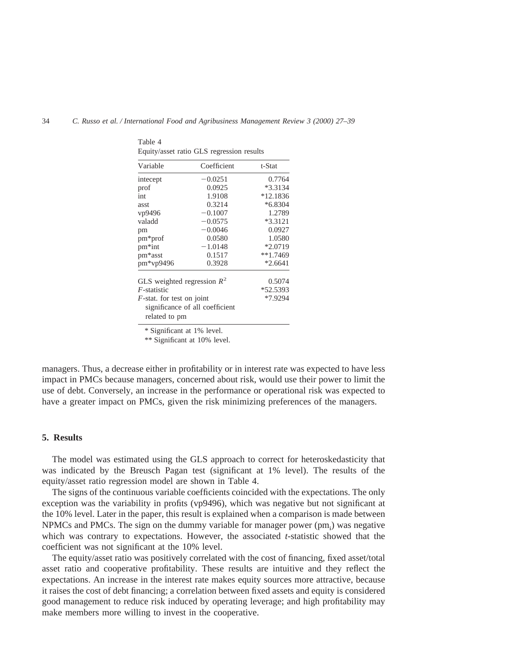| Variable                          | Coefficient                     | t-Stat     |
|-----------------------------------|---------------------------------|------------|
| intecept                          | $-0.0251$                       | 0.7764     |
| prof                              | 0.0925                          | $*3.3134$  |
| int                               | 1.9108                          | $*12.1836$ |
| asst                              | 0.3214                          | $*6.8304$  |
| vp9496                            | $-0.1007$                       | 1.2789     |
| valadd                            | $-0.0575$                       | *3.3121    |
| pm                                | $-0.0046$                       | 0.0927     |
| $pm*prof$                         | 0.0580                          | 1.0580     |
| pm <sup>*</sup> int               | $-1.0148$                       | $*2.0719$  |
| pm*asst                           | 0.1517                          | $**1.7469$ |
| pm*vp9496                         | 0.3928                          | $*2.6641$  |
| GLS weighted regression $R^2$     |                                 | 0.5074     |
| $F$ -statistic                    |                                 | *52.5393   |
| <i>F</i> -stat. for test on joint |                                 | *7.9294    |
|                                   | significance of all coefficient |            |
| related to pm                     |                                 |            |

Table 4 Equity/asset ratio GLS regression results

\* Significant at 1% level.

\*\* Significant at 10% level.

managers. Thus, a decrease either in profitability or in interest rate was expected to have less impact in PMCs because managers, concerned about risk, would use their power to limit the use of debt. Conversely, an increase in the performance or operational risk was expected to have a greater impact on PMCs, given the risk minimizing preferences of the managers.

## **5. Results**

The model was estimated using the GLS approach to correct for heteroskedasticity that was indicated by the Breusch Pagan test (significant at 1% level). The results of the equity/asset ratio regression model are shown in Table 4.

The signs of the continuous variable coefficients coincided with the expectations. The only exception was the variability in profits (vp9496), which was negative but not significant at the 10% level. Later in the paper, this result is explained when a comparison is made between NPMCs and PMCs. The sign on the dummy variable for manager power (pm<sub>i</sub>) was negative which was contrary to expectations. However, the associated *t*-statistic showed that the coefficient was not significant at the 10% level.

The equity/asset ratio was positively correlated with the cost of financing, fixed asset/total asset ratio and cooperative profitability. These results are intuitive and they reflect the expectations. An increase in the interest rate makes equity sources more attractive, because it raises the cost of debt financing; a correlation between fixed assets and equity is considered good management to reduce risk induced by operating leverage; and high profitability may make members more willing to invest in the cooperative.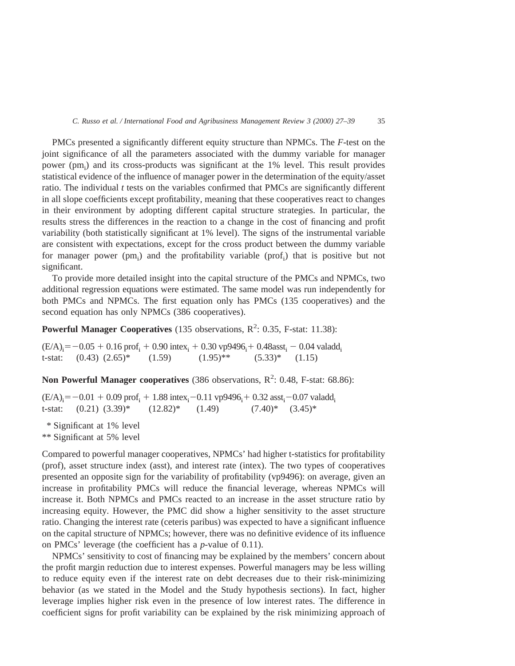PMCs presented a significantly different equity structure than NPMCs. The *F*-test on the joint significance of all the parameters associated with the dummy variable for manager power (pm<sub>i</sub>) and its cross-products was significant at the 1% level. This result provides statistical evidence of the influence of manager power in the determination of the equity/asset ratio. The individual  $t$  tests on the variables confirmed that PMCs are significantly different in all slope coefficients except profitability, meaning that these cooperatives react to changes in their environment by adopting different capital structure strategies. In particular, the results stress the differences in the reaction to a change in the cost of financing and profit variability (both statistically significant at 1% level). The signs of the instrumental variable are consistent with expectations, except for the cross product between the dummy variable for manager power (pm<sub>i</sub>) and the profitability variable (prof<sub>i</sub>) that is positive but not significant.

To provide more detailed insight into the capital structure of the PMCs and NPMCs, two additional regression equations were estimated. The same model was run independently for both PMCs and NPMCs. The first equation only has PMCs (135 cooperatives) and the second equation has only NPMCs (386 cooperatives).

**Powerful Manager Cooperatives** (135 observations, R<sup>2</sup>: 0.35, F-stat: 11.38):

 $(E/A)$ <sub>i</sub> = -0.05 + 0.16 prof<sub>i</sub> + 0.90 intex<sub>i</sub> + 0.30 vp9496<sub>i</sub> + 0.48asst<sub>i</sub> - 0.04 valadd<sub>i</sub> t-stat:  $(0.43)$   $(2.65)^*$   $(1.59)$   $(1.95)^{**}$   $(5.33)^*$   $(1.15)$ 

Non Powerful Manager cooperatives (386 observations, R<sup>2</sup>: 0.48, F-stat: 68.86):

 $(E/A)$ <sub>i</sub> = -0.01 + 0.09 prof<sub>i</sub> + 1.88 intex<sub>i</sub> -0.11 vp9496<sub>i</sub> + 0.32 asst<sub>i</sub> -0.07 valadd<sub>i</sub> t-stat:  $(0.21)$   $(3.39)^*$   $(12.82)^*$   $(1.49)$   $(7.40)^*$   $(3.45)^*$ 

\* Significant at 1% level \*\* Significant at 5% level

Compared to powerful manager cooperatives, NPMCs' had higher t-statistics for profitability (prof), asset structure index (asst), and interest rate (intex). The two types of cooperatives presented an opposite sign for the variability of profitability (vp9496): on average, given an increase in profitability PMCs will reduce the financial leverage, whereas NPMCs will increase it. Both NPMCs and PMCs reacted to an increase in the asset structure ratio by increasing equity. However, the PMC did show a higher sensitivity to the asset structure ratio. Changing the interest rate (ceteris paribus) was expected to have a significant influence on the capital structure of NPMCs; however, there was no definitive evidence of its influence on PMCs' leverage (the coefficient has a *p*-value of 0.11).

NPMCs' sensitivity to cost of financing may be explained by the members' concern about the profit margin reduction due to interest expenses. Powerful managers may be less willing to reduce equity even if the interest rate on debt decreases due to their risk-minimizing behavior (as we stated in the Model and the Study hypothesis sections). In fact, higher leverage implies higher risk even in the presence of low interest rates. The difference in coefficient signs for profit variability can be explained by the risk minimizing approach of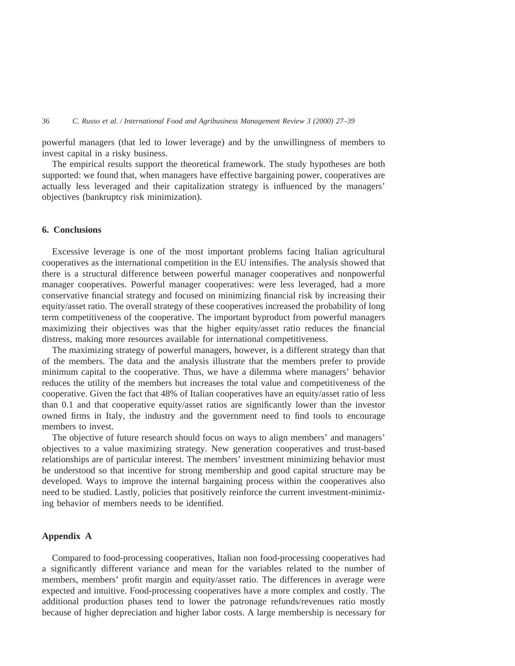powerful managers (that led to lower leverage) and by the unwillingness of members to invest capital in a risky business.

The empirical results support the theoretical framework. The study hypotheses are both supported: we found that, when managers have effective bargaining power, cooperatives are actually less leveraged and their capitalization strategy is influenced by the managers' objectives (bankruptcy risk minimization).

# **6. Conclusions**

Excessive leverage is one of the most important problems facing Italian agricultural cooperatives as the international competition in the EU intensifies. The analysis showed that there is a structural difference between powerful manager cooperatives and nonpowerful manager cooperatives. Powerful manager cooperatives: were less leveraged, had a more conservative financial strategy and focused on minimizing financial risk by increasing their equity/asset ratio. The overall strategy of these cooperatives increased the probability of long term competitiveness of the cooperative. The important byproduct from powerful managers maximizing their objectives was that the higher equity/asset ratio reduces the financial distress, making more resources available for international competitiveness.

The maximizing strategy of powerful managers, however, is a different strategy than that of the members. The data and the analysis illustrate that the members prefer to provide minimum capital to the cooperative. Thus, we have a dilemma where managers' behavior reduces the utility of the members but increases the total value and competitiveness of the cooperative. Given the fact that 48% of Italian cooperatives have an equity/asset ratio of less than 0.1 and that cooperative equity/asset ratios are significantly lower than the investor owned firms in Italy, the industry and the government need to find tools to encourage members to invest.

The objective of future research should focus on ways to align members' and managers' objectives to a value maximizing strategy. New generation cooperatives and trust-based relationships are of particular interest. The members' investment minimizing behavior must be understood so that incentive for strong membership and good capital structure may be developed. Ways to improve the internal bargaining process within the cooperatives also need to be studied. Lastly, policies that positively reinforce the current investment-minimizing behavior of members needs to be identified.

# **Appendix A**

Compared to food-processing cooperatives, Italian non food-processing cooperatives had a significantly different variance and mean for the variables related to the number of members, members' profit margin and equity/asset ratio. The differences in average were expected and intuitive. Food-processing cooperatives have a more complex and costly. The additional production phases tend to lower the patronage refunds/revenues ratio mostly because of higher depreciation and higher labor costs. A large membership is necessary for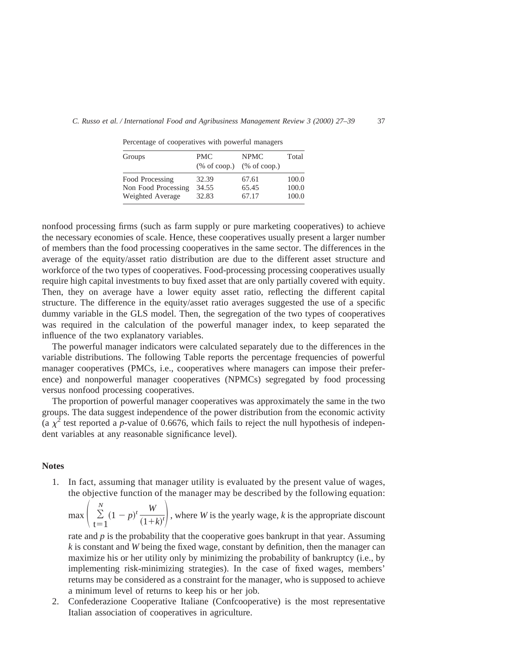| Groups              | <b>PMC</b> | <b>NPMC</b><br>$%$ of coop.) $%$ of coop.) | Total |
|---------------------|------------|--------------------------------------------|-------|
| Food Processing     | 32.39      | 67.61                                      | 100.0 |
| Non Food Processing | 34.55      | 65.45                                      | 100.0 |
| Weighted Average    | 32.83      | 67.17                                      | 100.0 |

Percentage of cooperatives with powerful managers

nonfood processing firms (such as farm supply or pure marketing cooperatives) to achieve the necessary economies of scale. Hence, these cooperatives usually present a larger number of members than the food processing cooperatives in the same sector. The differences in the average of the equity/asset ratio distribution are due to the different asset structure and workforce of the two types of cooperatives. Food-processing processing cooperatives usually require high capital investments to buy fixed asset that are only partially covered with equity. Then, they on average have a lower equity asset ratio, reflecting the different capital structure. The difference in the equity/asset ratio averages suggested the use of a specific dummy variable in the GLS model. Then, the segregation of the two types of cooperatives was required in the calculation of the powerful manager index, to keep separated the influence of the two explanatory variables.

The powerful manager indicators were calculated separately due to the differences in the variable distributions. The following Table reports the percentage frequencies of powerful manager cooperatives (PMCs, i.e., cooperatives where managers can impose their preference) and nonpowerful manager cooperatives (NPMCs) segregated by food processing versus nonfood processing cooperatives.

The proportion of powerful manager cooperatives was approximately the same in the two groups. The data suggest independence of the power distribution from the economic activity (a  $\chi^2$  test reported a *p*-value of 0.6676, which fails to reject the null hypothesis of independent variables at any reasonable significance level).

#### **Notes**

1. In fact, assuming that manager utility is evaluated by the present value of wages, the objective function of the manager may be described by the following equation:

 $\max\left(\sum_{t=1}^N\right)$ *N*  $(1-p)^t \frac{W}{(1-p)^t}$  $\left(\frac{W}{(1+k)^t}\right)$ , where *W* is the yearly wage, *k* is the appropriate discount

rate and  $p$  is the probability that the cooperative goes bankrupt in that year. Assuming *k* is constant and *W* being the fixed wage, constant by definition, then the manager can maximize his or her utility only by minimizing the probability of bankruptcy (i.e., by implementing risk-minimizing strategies). In the case of fixed wages, members' returns may be considered as a constraint for the manager, who is supposed to achieve a minimum level of returns to keep his or her job.

2. Confederazione Cooperative Italiane (Confcooperative) is the most representative Italian association of cooperatives in agriculture.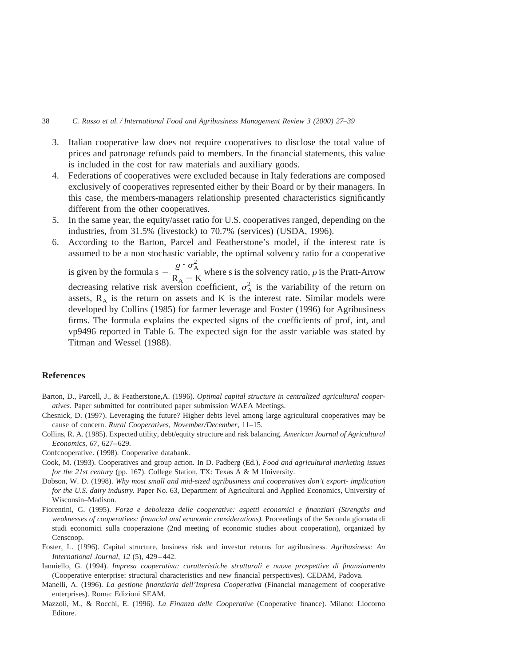#### 38 *C. Russo et al. / International Food and Agribusiness Management Review 3 (2000) 27–39*

- 3. Italian cooperative law does not require cooperatives to disclose the total value of prices and patronage refunds paid to members. In the financial statements, this value is included in the cost for raw materials and auxiliary goods.
- 4. Federations of cooperatives were excluded because in Italy federations are composed exclusively of cooperatives represented either by their Board or by their managers. In this case, the members-managers relationship presented characteristics significantly different from the other cooperatives.
- 5. In the same year, the equity/asset ratio for U.S. cooperatives ranged, depending on the industries, from 31.5% (livestock) to 70.7% (services) (USDA, 1996).
- 6. According to the Barton, Parcel and Featherstone's model, if the interest rate is assumed to be a non stochastic variable, the optimal solvency ratio for a cooperative is given by the formula  $s = \frac{Q \cdot \sigma_A^2}{D}$  $rac{c}{R_A - K}$  where s is the solvency ratio,  $\rho$  is the Pratt-Arrow decreasing relative risk aversion coefficient,  $\sigma_A^2$  is the variability of the return on assets,  $R_A$  is the return on assets and K is the interest rate. Similar models were developed by Collins (1985) for farmer leverage and Foster (1996) for Agribusiness firms. The formula explains the expected signs of the coefficients of prof, int, and vp9496 reported in Table 6. The expected sign for the asstr variable was stated by

Titman and Wessel (1988).

# **References**

- Barton, D., Parcell, J., & Featherstone,A. (1996). *Optimal capital structure in centralized agricultural cooperatives*. Paper submitted for contributed paper submission WAEA Meetings.
- Chesnick, D. (1997). Leveraging the future? Higher debts level among large agricultural cooperatives may be cause of concern. *Rural Cooperatives, November/December*, 11–15.
- Collins, R. A. (1985). Expected utility, debt/equity structure and risk balancing. *American Journal of Agricultural Economics*, *67,* 627–629.
- Confcooperative. (1998). Cooperative databank.
- Cook, M. (1993). Cooperatives and group action. In D. Padberg (Ed.), *Food and agricultural marketing issues for the 21st century* (pp. 167). College Station, TX: Texas A & M University.
- Dobson, W. D. (1998). *Why most small and mid-sized agribusiness and cooperatives don't export- implication for the U.S. dairy industry.* Paper No. 63, Department of Agricultural and Applied Economics, University of Wisconsin–Madison.
- Fiorentini, G. (1995). *Forza e debolezza delle cooperative: aspetti economici e finanziari (Strengths and weaknesses of cooperatives: financial and economic considerations).* Proceedings of the Seconda giornata di studi economici sulla cooperazione (2nd meeting of economic studies about cooperation), organized by Censcoop.
- Foster, L. (1996). Capital structure, business risk and investor returns for agribusiness. *Agribusiness: An International Journal*, *12* (5), 429–442.
- Ianniello, G. (1994). *Impresa cooperativa: caratteristiche strutturali e nuove prospettive di finanziamento* (Cooperative enterprise: structural characteristics and new financial perspectives). CEDAM, Padova.
- Manelli, A. (1996). *La gestione finanziaria dell'Impresa Cooperativa* (Financial management of cooperative enterprises). Roma: Edizioni SEAM.
- Mazzoli, M., & Rocchi, E. (1996). *La Finanza delle Cooperative* (Cooperative finance). Milano: Liocorno Editore.